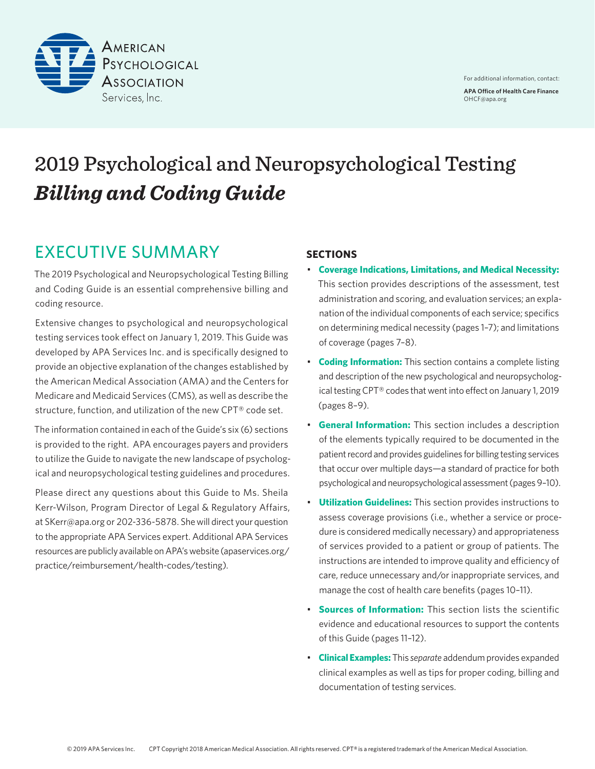

# 2019 Psychological and Neuropsychological Testing *Billing and Coding Guide*

## EXECUTIVE SUMMARY

The 2019 Psychological and Neuropsychological Testing Billing and Coding Guide is an essential comprehensive billing and coding resource.

Extensive changes to psychological and neuropsychological testing services took effect on January 1, 2019. This Guide was developed by APA Services Inc. and is specifically designed to provide an objective explanation of the changes established by the American Medical Association (AMA) and the Centers for Medicare and Medicaid Services (CMS), as well as describe the structure, function, and utilization of the new CPT® code set.

The information contained in each of the Guide's six (6) sections is provided to the right. APA encourages payers and providers to utilize the Guide to navigate the new landscape of psychological and neuropsychological testing guidelines and procedures.

Please direct any questions about this Guide to Ms. Sheila Kerr-Wilson, Program Director of Legal & Regulatory Affairs, at [SKerr@apa.org](mailto:SKerr%40apa.org?subject=) or 202-336-5878. She will direct your question to the appropriate APA Services expert. Additional APA Services resources are publicly available on APA's website [\(apaservices.org/](https://www.apaservices.org/practice/reimbursement/health-codes/testing) [practice/reimbursement/health-codes/testing](https://www.apaservices.org/practice/reimbursement/health-codes/testing)).

## **SECTIONS**

- **Coverage Indications, Limitations, and Medical Necessity:** This section provides descriptions of the assessment, test administration and scoring, and evaluation services; an explanation of the individual components of each service; specifics on determining medical necessity (pages 1–7); and limitations of coverage (pages 7–8).
- **Coding Information:** This section contains a complete listing and description of the new psychological and neuropsychological testing CPT® codes that went into effect on January 1, 2019 (pages 8–9).
- **General Information:** This section includes a description of the elements typically required to be documented in the patient record and provides guidelines for billing testing services that occur over multiple days—a standard of practice for both psychological and neuropsychological assessment (pages 9–10).
- **Utilization Guidelines:** This section provides instructions to assess coverage provisions (i.e., whether a service or procedure is considered medically necessary) and appropriateness of services provided to a patient or group of patients. The instructions are intended to improve quality and efficiency of care, reduce unnecessary and/or inappropriate services, and manage the cost of health care benefits (pages 10–11).
- **Sources of Information:** This section lists the scientific evidence and educational resources to support the contents of this Guide (pages 11–12).
- **Clinical Examples:** This *separate* addendum provides expanded clinical examples as well as tips for proper coding, billing and documentation of testing services.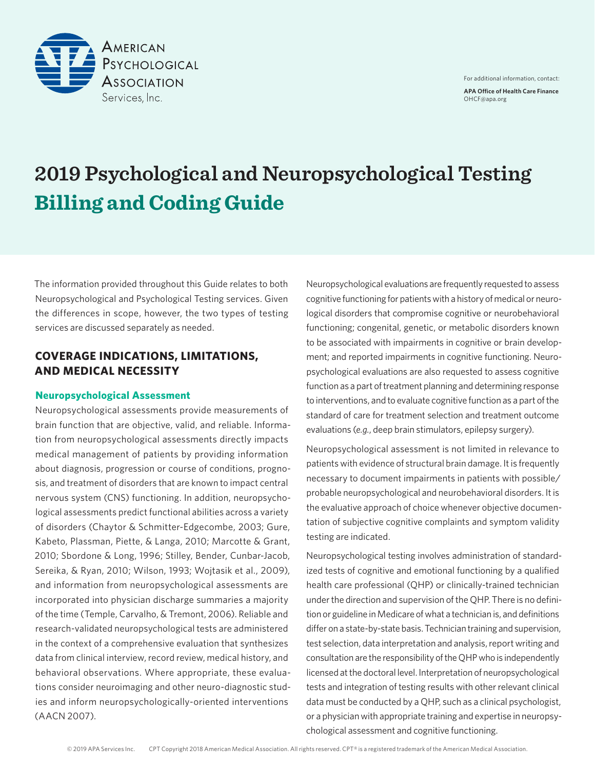

# **2019 Psychological and Neuropsychological Testing Billing and Coding Guide**

The information provided throughout this Guide relates to both Neuropsychological and Psychological Testing services. Given the differences in scope, however, the two types of testing services are discussed separately as needed.

## **COVERAGE INDICATIONS, LIMITATIONS, AND MEDICAL NECESSITY**

#### **Neuropsychological Assessment**

Neuropsychological assessments provide measurements of brain function that are objective, valid, and reliable. Information from neuropsychological assessments directly impacts medical management of patients by providing information about diagnosis, progression or course of conditions, prognosis, and treatment of disorders that are known to impact central nervous system (CNS) functioning. In addition, neuropsychological assessments predict functional abilities across a variety of disorders (Chaytor & Schmitter-Edgecombe, 2003; Gure, Kabeto, Plassman, Piette, & Langa, 2010; Marcotte & Grant, 2010; Sbordone & Long, 1996; Stilley, Bender, Cunbar-Jacob, Sereika, & Ryan, 2010; Wilson, 1993; Wojtasik et al., 2009), and information from neuropsychological assessments are incorporated into physician discharge summaries a majority of the time (Temple, Carvalho, & Tremont, 2006). Reliable and research-validated neuropsychological tests are administered in the context of a comprehensive evaluation that synthesizes data from clinical interview, record review, medical history, and behavioral observations. Where appropriate, these evaluations consider neuroimaging and other neuro-diagnostic studies and inform neuropsychologically-oriented interventions (AACN 2007).

Neuropsychological evaluations are frequently requested to assess cognitive functioning for patients with a history of medical or neurological disorders that compromise cognitive or neurobehavioral functioning; congenital, genetic, or metabolic disorders known to be associated with impairments in cognitive or brain development; and reported impairments in cognitive functioning. Neuropsychological evaluations are also requested to assess cognitive function as a part of treatment planning and determining response to interventions, and to evaluate cognitive function as a part of the standard of care for treatment selection and treatment outcome evaluations (*e.g.*, deep brain stimulators, epilepsy surgery).

Neuropsychological assessment is not limited in relevance to patients with evidence of structural brain damage. It is frequently necessary to document impairments in patients with possible/ probable neuropsychological and neurobehavioral disorders. It is the evaluative approach of choice whenever objective documentation of subjective cognitive complaints and symptom validity testing are indicated.

Neuropsychological testing involves administration of standardized tests of cognitive and emotional functioning by a qualified health care professional (QHP) or clinically-trained technician under the direction and supervision of the QHP. There is no definition or guideline in Medicare of what a technician is, and definitions differ on a state-by-state basis. Technician training and supervision, test selection, data interpretation and analysis, report writing and consultation are the responsibility of the QHP who is independently licensed at the doctoral level. Interpretation of neuropsychological tests and integration of testing results with other relevant clinical data must be conducted by a QHP, such as a clinical psychologist, or a physician with appropriate training and expertise in neuropsychological assessment and cognitive functioning.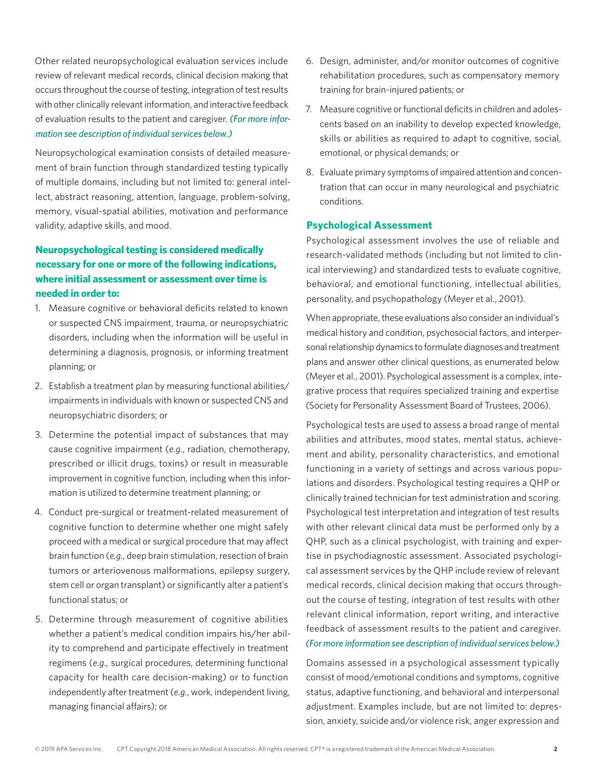Other related neuropsychological evaluation services include review of relevant medical records, clinical decision making that occurs throughout the course of testing, integration of test results with other clinically relevant information, and interactive feedback of evaluation results to the patient and caregiver. *(For more information see description of individual services below.)*

Neuropsychological examination consists of detailed measurement of brain function through standardized testing typically of multiple domains, including but not limited to: general intellect, abstract reasoning, attention, language, problem-solving, memory, visual-spatial abilities, motivation and performance validity, adaptive skills, and mood.

## **Neuropsychological testing is considered medically necessary for one or more of the following indications, where initial assessment or assessment over time is needed in order to:**

- 1. Measure cognitive or behavioral deficits related to known or suspected CNS impairment, trauma, or neuropsychiatric disorders, including when the information will be useful in determining a diagnosis, prognosis, or informing treatment planning; or
- 2. Establish a treatment plan by measuring functional abilities/ impairments in individuals with known or suspected CNS and neuropsychiatric disorders; or
- 3. Determine the potential impact of substances that may cause cognitive impairment (*e.g.*, radiation, chemotherapy, prescribed or illicit drugs, toxins) or result in measurable improvement in cognitive function, including when this information is utilized to determine treatment planning; or
- 4. Conduct pre-surgical or treatment-related measurement of cognitive function to determine whether one might safely proceed with a medical or surgical procedure that may affect brain function (*e.g.*, deep brain stimulation, resection of brain tumors or arteriovenous malformations, epilepsy surgery, stem cell or organ transplant) or significantly alter a patient's functional status; or
- 5. Determine through measurement of cognitive abilities whether a patient's medical condition impairs his/her ability to comprehend and participate effectively in treatment regimens (*e.g.,* surgical procedures, determining functional capacity for health care decision-making) or to function independently after treatment (*e.g.*, work, independent living, managing financial affairs); or
- 6. Design, administer, and/or monitor outcomes of cognitive rehabilitation procedures, such as compensatory memory training for brain-injured patients; or
- 7. Measure cognitive or functional deficits in children and adolescents based on an inability to develop expected knowledge, skills or abilities as required to adapt to cognitive, social, emotional, or physical demands; or
- 8. Evaluate primary symptoms of impaired attention and concentration that can occur in many neurological and psychiatric conditions.

#### **Psychological Assessment**

Psychological assessment involves the use of reliable and research-validated methods (including but not limited to clinical interviewing) and standardized tests to evaluate cognitive, behavioral, and emotional functioning, intellectual abilities, personality, and psychopathology (Meyer et al., 2001).

When appropriate, these evaluations also consider an individual's medical history and condition, psychosocial factors, and interpersonal relationship dynamics to formulate diagnoses and treatment plans and answer other clinical questions, as enumerated below (Meyer et al., 2001). Psychological assessment is a complex, integrative process that requires specialized training and expertise (Society for Personality Assessment Board of Trustees, 2006).

Psychological tests are used to assess a broad range of mental abilities and attributes, mood states, mental status, achievement and ability, personality characteristics, and emotional functioning in a variety of settings and across various populations and disorders. Psychological testing requires a QHP or clinically trained technician for test administration and scoring. Psychological test interpretation and integration of test results with other relevant clinical data must be performed only by a QHP, such as a clinical psychologist, with training and expertise in psychodiagnostic assessment. Associated psychological assessment services by the QHP include review of relevant medical records, clinical decision making that occurs throughout the course of testing, integration of test results with other relevant clinical information, report writing, and interactive feedback of assessment results to the patient and caregiver. *(For more information see description of individual services below.)*

Domains assessed in a psychological assessment typically consist of mood/emotional conditions and symptoms, cognitive status, adaptive functioning, and behavioral and interpersonal adjustment. Examples include, but are not limited to: depression, anxiety, suicide and/or violence risk, anger expression and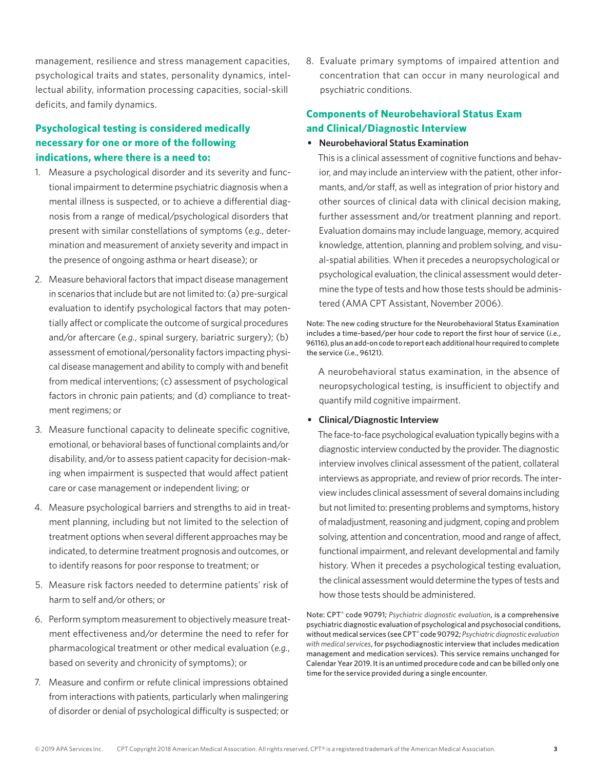management, resilience and stress management capacities, psychological traits and states, personality dynamics, intellectual ability, information processing capacities, social-skill deficits, and family dynamics.

## **Psychological testing is considered medically necessary for one or more of the following indications, where there is a need to:**

- 1. Measure a psychological disorder and its severity and functional impairment to determine psychiatric diagnosis when a mental illness is suspected, or to achieve a differential diagnosis from a range of medical/psychological disorders that present with similar constellations of symptoms (*e.g.*, determination and measurement of anxiety severity and impact in the presence of ongoing asthma or heart disease); or
- 2. Measure behavioral factors that impact disease management in scenarios that include but are not limited to: (a) pre-surgical evaluation to identify psychological factors that may potentially affect or complicate the outcome of surgical procedures and/or aftercare (*e.g.*, spinal surgery, bariatric surgery); (b) assessment of emotional/personality factors impacting physical disease management and ability to comply with and benefit from medical interventions; (c) assessment of psychological factors in chronic pain patients; and (d) compliance to treatment regimens; or
- 3. Measure functional capacity to delineate specific cognitive, emotional, or behavioral bases of functional complaints and/or disability, and/or to assess patient capacity for decision-making when impairment is suspected that would affect patient care or case management or independent living; or
- 4. Measure psychological barriers and strengths to aid in treatment planning, including but not limited to the selection of treatment options when several different approaches may be indicated, to determine treatment prognosis and outcomes, or to identify reasons for poor response to treatment; or
- 5. Measure risk factors needed to determine patients' risk of harm to self and/or others; or
- 6. Perform symptom measurement to objectively measure treatment effectiveness and/or determine the need to refer for pharmacological treatment or other medical evaluation (*e.g.*, based on severity and chronicity of symptoms); or
- 7. Measure and confirm or refute clinical impressions obtained from interactions with patients, particularly when malingering of disorder or denial of psychological difficulty is suspected; or

8. Evaluate primary symptoms of impaired attention and concentration that can occur in many neurological and psychiatric conditions.

## **Components of Neurobehavioral Status Exam and Clinical/Diagnostic Interview**

#### **• Neurobehavioral Status Examination**

This is a clinical assessment of cognitive functions and behavior, and may include an interview with the patient, other informants, and/or staff, as well as integration of prior history and other sources of clinical data with clinical decision making, further assessment and/or treatment planning and report. Evaluation domains may include language, memory, acquired knowledge, attention, planning and problem solving, and visual-spatial abilities. When it precedes a neuropsychological or psychological evaluation, the clinical assessment would determine the type of tests and how those tests should be administered (AMA CPT Assistant, November 2006).

Note: The new coding structure for the Neurobehavioral Status Examination includes a time-based/per hour code to report the first hour of service (*i.e.*, 96116), plus an add-on code to report each additional hour required to complete the service (*i.e.*, 96121).

A neurobehavioral status examination, in the absence of neuropsychological testing, is insufficient to objectify and quantify mild cognitive impairment.

#### **• Clinical/Diagnostic Interview**

The face-to-face psychological evaluation typically begins with a diagnostic interview conducted by the provider. The diagnostic interview involves clinical assessment of the patient, collateral interviews as appropriate, and review of prior records. The interview includes clinical assessment of several domains including but not limited to: presenting problems and symptoms, history of maladjustment, reasoning and judgment, coping and problem solving, attention and concentration, mood and range of affect, functional impairment, and relevant developmental and family history. When it precedes a psychological testing evaluation, the clinical assessment would determine the types of tests and how those tests should be administered.

Note: CPT® code 90791; *Psychiatric diagnostic evaluation*, is a comprehensive psychiatric diagnostic evaluation of psychological and psychosocial conditions, without medical services (see CPT® code 90792; *Psychiatric diagnostic evaluation with medical services*, for psychodiagnostic interview that includes medication management and medication services). This service remains unchanged for Calendar Year 2019. It is an untimed procedure code and can be billed only one time for the service provided during a single encounter.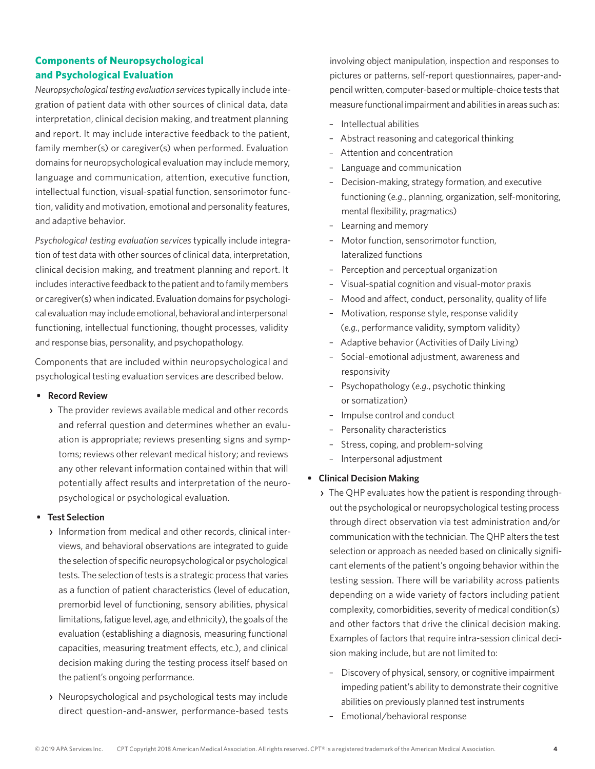## **Components of Neuropsychological and Psychological Evaluation**

*Neuropsychological testing evaluation services* typically include integration of patient data with other sources of clinical data, data interpretation, clinical decision making, and treatment planning and report. It may include interactive feedback to the patient, family member(s) or caregiver(s) when performed. Evaluation domains for neuropsychological evaluation may include memory, language and communication, attention, executive function, intellectual function, visual-spatial function, sensorimotor function, validity and motivation, emotional and personality features, and adaptive behavior.

*Psychological testing evaluation services* typically include integration of test data with other sources of clinical data, interpretation, clinical decision making, and treatment planning and report. It includes interactive feedback to the patient and to family members or caregiver(s) when indicated. Evaluation domains for psychological evaluation may include emotional, behavioral and interpersonal functioning, intellectual functioning, thought processes, validity and response bias, personality, and psychopathology.

Components that are included within neuropsychological and psychological testing evaluation services are described below.

- **• Record Review**
	- **›** The provider reviews available medical and other records and referral question and determines whether an evaluation is appropriate; reviews presenting signs and symptoms; reviews other relevant medical history; and reviews any other relevant information contained within that will potentially affect results and interpretation of the neuropsychological or psychological evaluation.

#### **• Test Selection**

- **›** Information from medical and other records, clinical interviews, and behavioral observations are integrated to guide the selection of specific neuropsychological or psychological tests. The selection of tests is a strategic process that varies as a function of patient characteristics (level of education, premorbid level of functioning, sensory abilities, physical limitations, fatigue level, age, and ethnicity), the goals of the evaluation (establishing a diagnosis, measuring functional capacities, measuring treatment effects, etc.), and clinical decision making during the testing process itself based on the patient's ongoing performance.
- **›** Neuropsychological and psychological tests may include direct question-and-answer, performance-based tests

involving object manipulation, inspection and responses to pictures or patterns, self-report questionnaires, paper-andpencil written, computer-based or multiple-choice tests that measure functional impairment and abilities in areas such as:

- Intellectual abilities
- Abstract reasoning and categorical thinking
- Attention and concentration
- Language and communication
- Decision-making, strategy formation, and executive functioning (*e.g.*, planning, organization, self-monitoring, mental flexibility, pragmatics)
- Learning and memory
- Motor function, sensorimotor function, lateralized functions
- Perception and perceptual organization
- Visual-spatial cognition and visual-motor praxis
- Mood and affect, conduct, personality, quality of life
- Motivation, response style, response validity (*e.g.*, performance validity, symptom validity)
- Adaptive behavior (Activities of Daily Living)
- Social-emotional adjustment, awareness and responsivity
- Psychopathology (*e.g.*, psychotic thinking or somatization)
- Impulse control and conduct
- Personality characteristics
- Stress, coping, and problem-solving
- Interpersonal adjustment

#### **• Clinical Decision Making**

- **›** The QHP evaluates how the patient is responding throughout the psychological or neuropsychological testing process through direct observation via test administration and/or communication with the technician. The QHP alters the test selection or approach as needed based on clinically significant elements of the patient's ongoing behavior within the testing session. There will be variability across patients depending on a wide variety of factors including patient complexity, comorbidities, severity of medical condition(s) and other factors that drive the clinical decision making. Examples of factors that require intra-session clinical decision making include, but are not limited to:
	- Discovery of physical, sensory, or cognitive impairment impeding patient's ability to demonstrate their cognitive abilities on previously planned test instruments
	- Emotional/behavioral response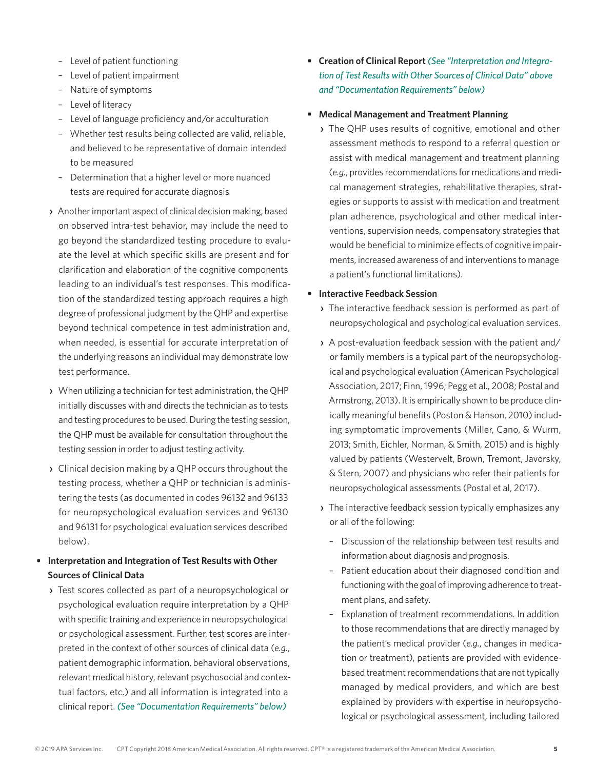- Level of patient functioning
- Level of patient impairment
- Nature of symptoms
- Level of literacy
- Level of language proficiency and/or acculturation
- Whether test results being collected are valid, reliable, and believed to be representative of domain intended to be measured
- Determination that a higher level or more nuanced tests are required for accurate diagnosis
- **›** Another important aspect of clinical decision making, based on observed intra-test behavior, may include the need to go beyond the standardized testing procedure to evaluate the level at which specific skills are present and for clarification and elaboration of the cognitive components leading to an individual's test responses. This modification of the standardized testing approach requires a high degree of professional judgment by the QHP and expertise beyond technical competence in test administration and, when needed, is essential for accurate interpretation of the underlying reasons an individual may demonstrate low test performance.
- **›** When utilizing a technician for test administration, the QHP initially discusses with and directs the technician as to tests and testing procedures to be used. During the testing session, the QHP must be available for consultation throughout the testing session in order to adjust testing activity.
- **›** Clinical decision making by a QHP occurs throughout the testing process, whether a QHP or technician is administering the tests (as documented in codes 96132 and 96133 for neuropsychological evaluation services and 96130 and 96131 for psychological evaluation services described below).
- **• Interpretation and Integration of Test Results with Other Sources of Clinical Data**
	- **›** Test scores collected as part of a neuropsychological or psychological evaluation require interpretation by a QHP with specific training and experience in neuropsychological or psychological assessment. Further, test scores are interpreted in the context of other sources of clinical data (*e.g.*, patient demographic information, behavioral observations, relevant medical history, relevant psychosocial and contextual factors, etc.) and all information is integrated into a clinical report. *(See "Documentation Requirements" below)*
- **• Creation of Clinical Report** *(See "Interpretation and Integration of Test Results with Other Sources of Clinical Data" above and "Documentation Requirements" below)*
- **• Medical Management and Treatment Planning**
	- **›** The QHP uses results of cognitive, emotional and other assessment methods to respond to a referral question or assist with medical management and treatment planning (*e.g.*, provides recommendations for medications and medical management strategies, rehabilitative therapies, strategies or supports to assist with medication and treatment plan adherence, psychological and other medical interventions, supervision needs, compensatory strategies that would be beneficial to minimize effects of cognitive impairments, increased awareness of and interventions to manage a patient's functional limitations).
- **• Interactive Feedback Session**
	- **›** The interactive feedback session is performed as part of neuropsychological and psychological evaluation services.
	- **›** A post-evaluation feedback session with the patient and/ or family members is a typical part of the neuropsychological and psychological evaluation (American Psychological Association, 2017; Finn, 1996; Pegg et al., 2008; Postal and Armstrong, 2013). It is empirically shown to be produce clinically meaningful benefits (Poston & Hanson, 2010) including symptomatic improvements (Miller, Cano, & Wurm, 2013; Smith, Eichler, Norman, & Smith, 2015) and is highly valued by patients (Westervelt, Brown, Tremont, Javorsky, & Stern, 2007) and physicians who refer their patients for neuropsychological assessments (Postal et al, 2017).
	- **›** The interactive feedback session typically emphasizes any or all of the following:
		- Discussion of the relationship between test results and information about diagnosis and prognosis.
		- Patient education about their diagnosed condition and functioning with the goal of improving adherence to treatment plans, and safety.
		- Explanation of treatment recommendations. In addition to those recommendations that are directly managed by the patient's medical provider (*e.g.*, changes in medication or treatment), patients are provided with evidencebased treatment recommendations that are not typically managed by medical providers, and which are best explained by providers with expertise in neuropsychological or psychological assessment, including tailored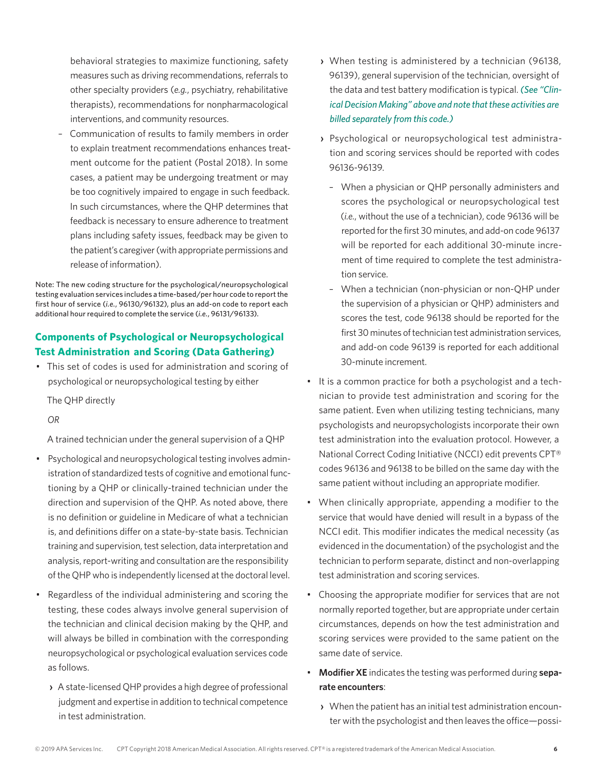behavioral strategies to maximize functioning, safety measures such as driving recommendations, referrals to other specialty providers (*e.g.*, psychiatry, rehabilitative therapists), recommendations for nonpharmacological interventions, and community resources.

– Communication of results to family members in order to explain treatment recommendations enhances treatment outcome for the patient (Postal 2018). In some cases, a patient may be undergoing treatment or may be too cognitively impaired to engage in such feedback. In such circumstances, where the QHP determines that feedback is necessary to ensure adherence to treatment plans including safety issues, feedback may be given to the patient's caregiver (with appropriate permissions and release of information).

Note: The new coding structure for the psychological/neuropsychological testing evaluation services includes a time-based/per hour code to report the first hour of service (*i.e.*, 96130/96132), plus an add-on code to report each additional hour required to complete the service (*i.e.*, 96131/96133).

### **Components of Psychological or Neuropsychological Test Administration and Scoring (Data Gathering)**

• This set of codes is used for administration and scoring of psychological or neuropsychological testing by either

The QHP directly

*OR*

A trained technician under the general supervision of a QHP

- Psychological and neuropsychological testing involves administration of standardized tests of cognitive and emotional functioning by a QHP or clinically-trained technician under the direction and supervision of the QHP. As noted above, there is no definition or guideline in Medicare of what a technician is, and definitions differ on a state-by-state basis. Technician training and supervision, test selection, data interpretation and analysis, report-writing and consultation are the responsibility of the QHP who is independently licensed at the doctoral level.
- Regardless of the individual administering and scoring the testing, these codes always involve general supervision of the technician and clinical decision making by the QHP, and will always be billed in combination with the corresponding neuropsychological or psychological evaluation services code as follows.
	- **›** A state-licensed QHP provides a high degree of professional judgment and expertise in addition to technical competence in test administration.
- **›** When testing is administered by a technician (96138, 96139), general supervision of the technician, oversight of the data and test battery modification is typical. *(See "Clinical Decision Making" above and note that these activities are billed separately from this code.)*
- **›** Psychological or neuropsychological test administration and scoring services should be reported with codes 96136-96139.
	- When a physician or QHP personally administers and scores the psychological or neuropsychological test (*i.e.*, without the use of a technician), code 96136 will be reported for the first 30 minutes, and add-on code 96137 will be reported for each additional 30-minute increment of time required to complete the test administration service.
	- When a technician (non-physician or non-QHP under the supervision of a physician or QHP) administers and scores the test, code 96138 should be reported for the first 30 minutes of technician test administration services, and add-on code 96139 is reported for each additional 30-minute increment.
- It is a common practice for both a psychologist and a technician to provide test administration and scoring for the same patient. Even when utilizing testing technicians, many psychologists and neuropsychologists incorporate their own test administration into the evaluation protocol. However, a National Correct Coding Initiative (NCCI) edit prevents CPT® codes 96136 and 96138 to be billed on the same day with the same patient without including an appropriate modifier.
- When clinically appropriate, appending a modifier to the service that would have denied will result in a bypass of the NCCI edit. This modifier indicates the medical necessity (as evidenced in the documentation) of the psychologist and the technician to perform separate, distinct and non-overlapping test administration and scoring services.
- Choosing the appropriate modifier for services that are not normally reported together, but are appropriate under certain circumstances, depends on how the test administration and scoring services were provided to the same patient on the same date of service.
- **Modifier XE** indicates the testing was performed during **separate encounters**:
	- **›** When the patient has an initial test administration encounter with the psychologist and then leaves the office—possi-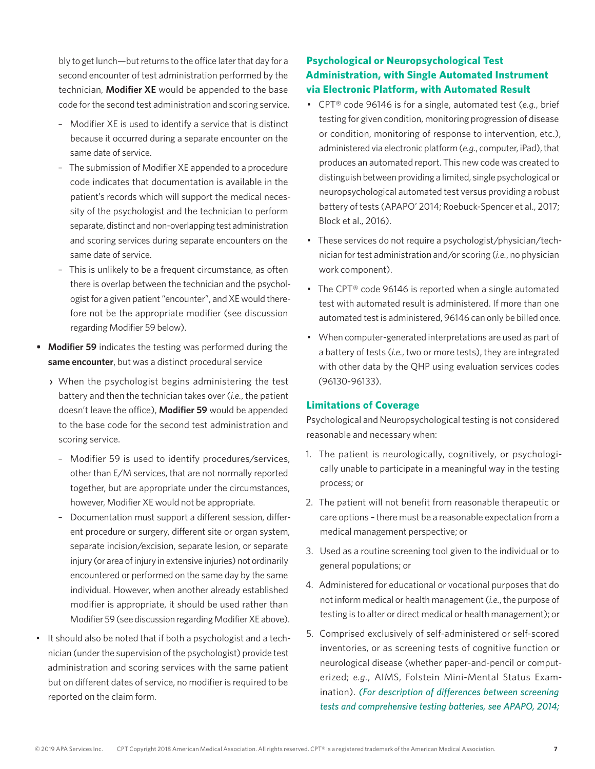bly to get lunch—but returns to the office later that day for a second encounter of test administration performed by the technician, **Modifier XE** would be appended to the base code for the second test administration and scoring service.

- Modifier XE is used to identify a service that is distinct because it occurred during a separate encounter on the same date of service.
- The submission of Modifier XE appended to a procedure code indicates that documentation is available in the patient's records which will support the medical necessity of the psychologist and the technician to perform separate, distinct and non-overlapping test administration and scoring services during separate encounters on the same date of service.
- This is unlikely to be a frequent circumstance, as often there is overlap between the technician and the psychologist for a given patient "encounter", and XE would therefore not be the appropriate modifier (see discussion regarding Modifier 59 below).
- **• Modifier 59** indicates the testing was performed during the **same encounter**, but was a distinct procedural service
	- **›** When the psychologist begins administering the test battery and then the technician takes over (*i.e.*, the patient doesn't leave the office), **Modifier 59** would be appended to the base code for the second test administration and scoring service.
		- Modifier 59 is used to identify procedures/services, other than E/M services, that are not normally reported together, but are appropriate under the circumstances, however, Modifier XE would not be appropriate.
		- Documentation must support a different session, different procedure or surgery, different site or organ system, separate incision/excision, separate lesion, or separate injury (or area of injury in extensive injuries) not ordinarily encountered or performed on the same day by the same individual. However, when another already established modifier is appropriate, it should be used rather than Modifier 59 (see discussion regarding Modifier XE above).
- It should also be noted that if both a psychologist and a technician (under the supervision of the psychologist) provide test administration and scoring services with the same patient but on different dates of service, no modifier is required to be reported on the claim form.

## **Psychological or Neuropsychological Test Administration, with Single Automated Instrument via Electronic Platform, with Automated Result**

- CPT® code 96146 is for a single, automated test (*e.g.*, brief testing for given condition, monitoring progression of disease or condition, monitoring of response to intervention, etc.), administered via electronic platform (*e.g.*, computer, iPad), that produces an automated report. This new code was created to distinguish between providing a limited, single psychological or neuropsychological automated test versus providing a robust battery of tests (APAPO' 2014; Roebuck-Spencer et al., 2017; Block et al., 2016).
- These services do not require a psychologist/physician/technician for test administration and/or scoring (*i.e.*, no physician work component).
- The CPT® code 96146 is reported when a single automated test with automated result is administered. If more than one automated test is administered, 96146 can only be billed once.
- When computer-generated interpretations are used as part of a battery of tests (*i.e.*, two or more tests), they are integrated with other data by the QHP using evaluation services codes (96130-96133).

#### **Limitations of Coverage**

Psychological and Neuropsychological testing is not considered reasonable and necessary when:

- 1. The patient is neurologically, cognitively, or psychologically unable to participate in a meaningful way in the testing process; or
- 2. The patient will not benefit from reasonable therapeutic or care options – there must be a reasonable expectation from a medical management perspective; or
- 3. Used as a routine screening tool given to the individual or to general populations; or
- 4. Administered for educational or vocational purposes that do not inform medical or health management (*i.e.*, the purpose of testing is to alter or direct medical or health management); or
- 5. Comprised exclusively of self-administered or self-scored inventories, or as screening tests of cognitive function or neurological disease (whether paper-and-pencil or computerized; *e.g.*, AIMS, Folstein Mini-Mental Status Examination). *(For description of differences between screening tests and comprehensive testing batteries, see APAPO, 2014;*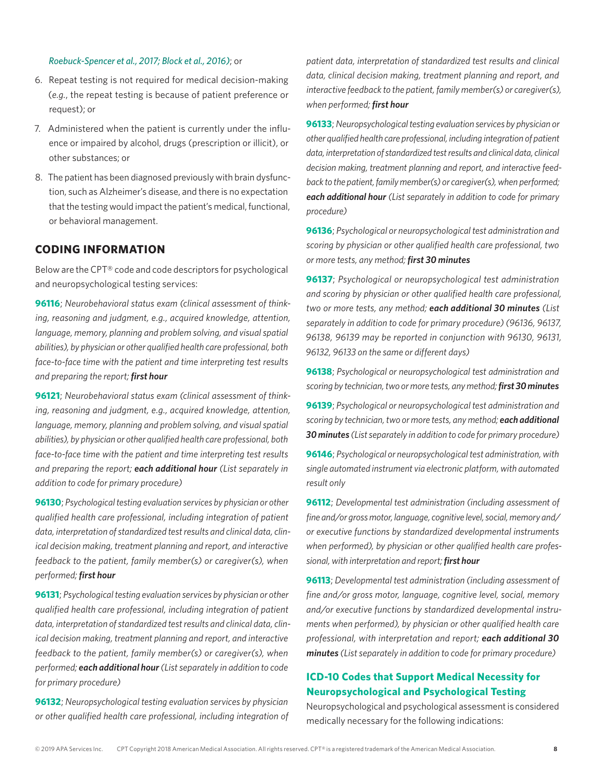#### *Roebuck-Spencer et al., 2017; Block et al., 2016)*; or

- 6. Repeat testing is not required for medical decision-making (*e.g.*, the repeat testing is because of patient preference or request); or
- 7. Administered when the patient is currently under the influence or impaired by alcohol, drugs (prescription or illicit), or other substances; or
- 8. The patient has been diagnosed previously with brain dysfunction, such as Alzheimer's disease, and there is no expectation that the testing would impact the patient's medical, functional, or behavioral management.

#### **CODING INFORMATION**

Below are the CPT® code and code descriptors for psychological and neuropsychological testing services:

**96116**; *Neurobehavioral status exam (clinical assessment of thinking, reasoning and judgment, e.g., acquired knowledge, attention, language, memory, planning and problem solving, and visual spatial abilities), by physician or other qualified health care professional, both face-to-face time with the patient and time interpreting test results and preparing the report; first hour*

**96121**; *Neurobehavioral status exam (clinical assessment of thinking, reasoning and judgment, e.g., acquired knowledge, attention, language, memory, planning and problem solving, and visual spatial abilities), by physician or other qualified health care professional, both face-to-face time with the patient and time interpreting test results and preparing the report; each additional hour (List separately in addition to code for primary procedure)*

**96130**; *Psychological testing evaluation services by physician or other qualified health care professional, including integration of patient data, interpretation of standardized test results and clinical data, clinical decision making, treatment planning and report, and interactive feedback to the patient, family member(s) or caregiver(s), when performed; first hour*

**96131**; *Psychological testing evaluation services by physician or other qualified health care professional, including integration of patient data, interpretation of standardized test results and clinical data, clinical decision making, treatment planning and report, and interactive feedback to the patient, family member(s) or caregiver(s), when performed; each additional hour (List separately in addition to code for primary procedure)*

**96132**; *Neuropsychological testing evaluation services by physician or other qualified health care professional, including integration of*  *patient data, interpretation of standardized test results and clinical data, clinical decision making, treatment planning and report, and interactive feedback to the patient, family member(s) or caregiver(s), when performed; first hour*

**96133**; *Neuropsychological testing evaluation services by physician or other qualified health care professional, including integration of patient data, interpretation of standardized test results and clinical data, clinical decision making, treatment planning and report, and interactive feedback to the patient, family member(s) or caregiver(s), when performed; each additional hour (List separately in addition to code for primary procedure)*

**96136**; *Psychological or neuropsychological test administration and scoring by physician or other qualified health care professional, two or more tests, any method; first 30 minutes*

**96137**; *Psychological or neuropsychological test administration and scoring by physician or other qualified health care professional, two or more tests, any method; each additional 30 minutes (List separately in addition to code for primary procedure) (96136, 96137, 96138, 96139 may be reported in conjunction with 96130, 96131, 96132, 96133 on the same or different days)*

**96138**; *Psychological or neuropsychological test administration and scoring by technician, two or more tests, any method; first 30 minutes*

**96139**; *Psychological or neuropsychological test administration and scoring by technician, two or more tests, any method; each additional 30 minutes (List separately in addition to code for primary procedure)*

**96146**; *Psychological or neuropsychological test administration, with single automated instrument via electronic platform, with automated result only*

**96112**; *Developmental test administration (including assessment of fine and/or gross motor, language, cognitive level, social, memory and/ or executive functions by standardized developmental instruments when performed), by physician or other qualified health care professional, with interpretation and report; first hour*

**96113**; *Developmental test administration (including assessment of fine and/or gross motor, language, cognitive level, social, memory and/or executive functions by standardized developmental instruments when performed), by physician or other qualified health care professional, with interpretation and report; each additional 30 minutes (List separately in addition to code for primary procedure)*

### **ICD-10 Codes that Support Medical Necessity for Neuropsychological and Psychological Testing**

Neuropsychological and psychological assessment is considered medically necessary for the following indications: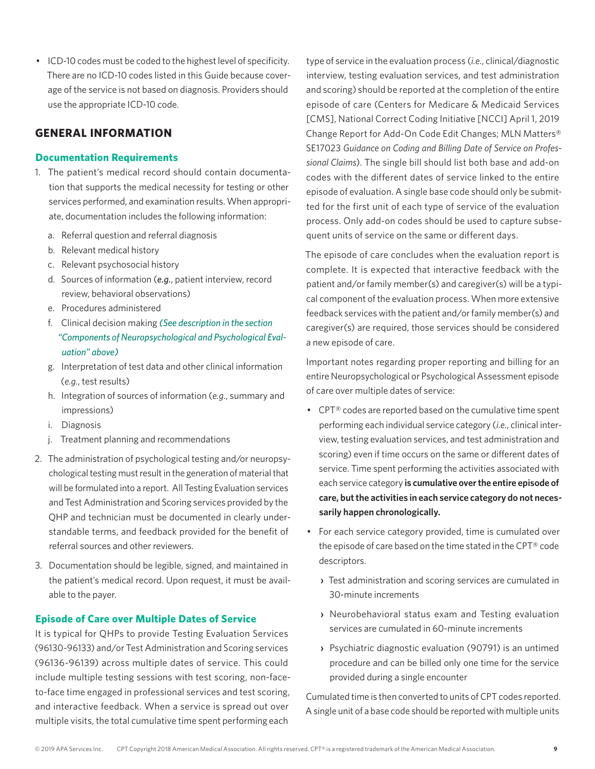• ICD-10 codes must be coded to the highest level of specificity. There are no ICD-10 codes listed in this Guide because coverage of the service is not based on diagnosis. Providers should use the appropriate ICD-10 code.

## **GENERAL INFORMATION**

#### **Documentation Requirements**

- 1. The patient's medical record should contain documentation that supports the medical necessity for testing or other services performed, and examination results. When appropriate, documentation includes the following information:
	- a. Referral question and referral diagnosis
	- b. Relevant medical history
	- c. Relevant psychosocial history
	- d. Sources of information (*e.g.*, patient interview, record review, behavioral observations)
	- e. Procedures administered
	- f. Clinical decision making *(See description in the section "Components of Neuropsychological and Psychological Evaluation" above)*
	- g. Interpretation of test data and other clinical information (*e.g.*, test results)
	- h. Integration of sources of information (*e.g.*, summary and impressions)
	- i. Diagnosis
	- j. Treatment planning and recommendations
- 2. The administration of psychological testing and/or neuropsychological testing must result in the generation of material that will be formulated into a report. All Testing Evaluation services and Test Administration and Scoring services provided by the QHP and technician must be documented in clearly understandable terms, and feedback provided for the benefit of referral sources and other reviewers.
- 3. Documentation should be legible, signed, and maintained in the patient's medical record. Upon request, it must be available to the payer.

#### **Episode of Care over Multiple Dates of Service**

It is typical for QHPs to provide Testing Evaluation Services (96130-96133) and/or Test Administration and Scoring services (96136-96139) across multiple dates of service. This could include multiple testing sessions with test scoring, non-faceto-face time engaged in professional services and test scoring, and interactive feedback. When a service is spread out over multiple visits, the total cumulative time spent performing each

type of service in the evaluation process (*i.e.*, clinical/diagnostic interview, testing evaluation services, and test administration and scoring) should be reported at the completion of the entire episode of care (Centers for Medicare & Medicaid Services [CMS], National Correct Coding Initiative [NCCI] April 1, 2019 Change Report for Add-On Code Edit Changes; MLN Matters® [SE17023](https://urldefense.proofpoint.com/v2/url?u=https-3A__www.cms.gov_Outreach-2Dand-2DEducation_Medicare-2DLearning-2DNetwork-2DMLN_MLNMattersArticles_downloads_SE17023.pdf&d=DwMGaQ&c=VjzId-SM5S6aVB_cCGQ0d3uo9UfKByQ3sI6Audoy6dY&r=jR1lLYhax3ROzOFGhMXiKF3WXlbJVdQitfGpwF9iKgE&m=ig7p1cPkHZiKVdwdyzg7moxDiOXlAe2J4J6IQWr6byM&s=yhZpO82-gXIWmv97HemPzP2d7CX8c2E0UJ6NCjUxT-w&e=) *Guidance on Coding and Billing Date of Service on Professional Claims*). The single bill should list both base and add-on codes with the different dates of service linked to the entire episode of evaluation. A single base code should only be submitted for the first unit of each type of service of the evaluation process. Only add-on codes should be used to capture subsequent units of service on the same or different days.

The episode of care concludes when the evaluation report is complete. It is expected that interactive feedback with the patient and/or family member(s) and caregiver(s) will be a typical component of the evaluation process. When more extensive feedback services with the patient and/or family member(s) and caregiver(s) are required, those services should be considered a new episode of care.

Important notes regarding proper reporting and billing for an entire Neuropsychological or Psychological Assessment episode of care over multiple dates of service:

- CPT® codes are reported based on the cumulative time spent performing each individual service category (*i.e.*, clinical interview, testing evaluation services, and test administration and scoring) even if time occurs on the same or different dates of service. Time spent performing the activities associated with each service category **is cumulative over the entire episode of care, but the activities in each service category do not necessarily happen chronologically.**
- For each service category provided, time is cumulated over the episode of care based on the time stated in the CPT® code descriptors.
	- **›** Test administration and scoring services are cumulated in 30-minute increments
	- **›** Neurobehavioral status exam and Testing evaluation services are cumulated in 60-minute increments
	- **›** Psychiatric diagnostic evaluation (90791) is an untimed procedure and can be billed only one time for the service provided during a single encounter

Cumulated time is then converted to units of CPT codes reported. A single unit of a base code should be reported with multiple units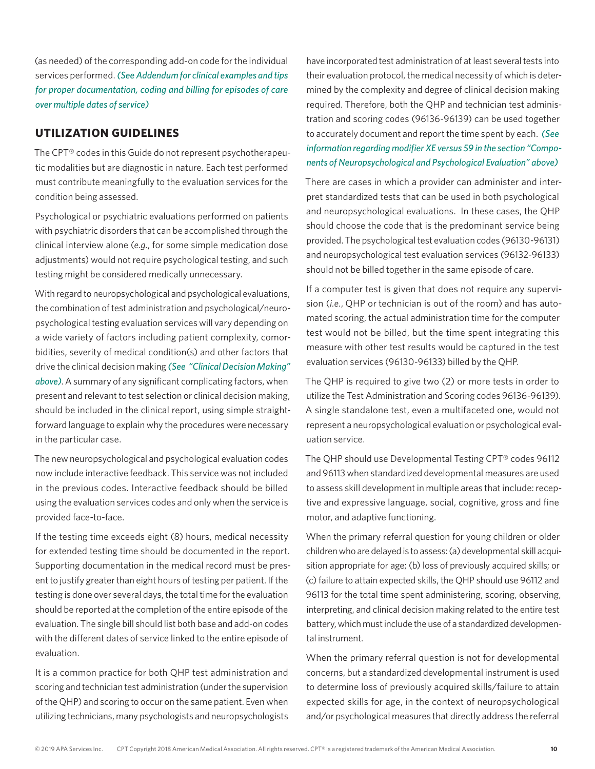(as needed) of the corresponding add-on code for the individual services performed. *(See Addendum for clinical examples and tips for proper documentation, coding and billing for episodes of care over multiple dates of service)*

## **UTILIZATION GUIDELINES**

The CPT® codes in this Guide do not represent psychotherapeutic modalities but are diagnostic in nature. Each test performed must contribute meaningfully to the evaluation services for the condition being assessed.

Psychological or psychiatric evaluations performed on patients with psychiatric disorders that can be accomplished through the clinical interview alone (*e.g.*, for some simple medication dose adjustments) would not require psychological testing, and such testing might be considered medically unnecessary.

With regard to neuropsychological and psychological evaluations, the combination of test administration and psychological/neuropsychological testing evaluation services will vary depending on a wide variety of factors including patient complexity, comorbidities, severity of medical condition(s) and other factors that drive the clinical decision making *(See "Clinical Decision Making" above)*. A summary of any significant complicating factors, when present and relevant to test selection or clinical decision making, should be included in the clinical report, using simple straightforward language to explain why the procedures were necessary in the particular case.

The new neuropsychological and psychological evaluation codes now include interactive feedback. This service was not included in the previous codes. Interactive feedback should be billed using the evaluation services codes and only when the service is provided face-to-face.

If the testing time exceeds eight (8) hours, medical necessity for extended testing time should be documented in the report. Supporting documentation in the medical record must be present to justify greater than eight hours of testing per patient. If the testing is done over several days, the total time for the evaluation should be reported at the completion of the entire episode of the evaluation. The single bill should list both base and add-on codes with the different dates of service linked to the entire episode of evaluation.

It is a common practice for both QHP test administration and scoring and technician test administration (under the supervision of the QHP) and scoring to occur on the same patient. Even when utilizing technicians, many psychologists and neuropsychologists

have incorporated test administration of at least several tests into their evaluation protocol, the medical necessity of which is determined by the complexity and degree of clinical decision making required. Therefore, both the QHP and technician test administration and scoring codes (96136-96139) can be used together to accurately document and report the time spent by each. *(See information regarding modifier XE versus 59 in the section "Components of Neuropsychological and Psychological Evaluation" above)*

There are cases in which a provider can administer and interpret standardized tests that can be used in both psychological and neuropsychological evaluations. In these cases, the QHP should choose the code that is the predominant service being provided. The psychological test evaluation codes (96130-96131) and neuropsychological test evaluation services (96132-96133) should not be billed together in the same episode of care.

If a computer test is given that does not require any supervision (*i.e.*, QHP or technician is out of the room) and has automated scoring, the actual administration time for the computer test would not be billed, but the time spent integrating this measure with other test results would be captured in the test evaluation services (96130-96133) billed by the QHP.

The QHP is required to give two (2) or more tests in order to utilize the Test Administration and Scoring codes 96136-96139). A single standalone test, even a multifaceted one, would not represent a neuropsychological evaluation or psychological evaluation service.

The QHP should use Developmental Testing CPT® codes 96112 and 96113 when standardized developmental measures are used to assess skill development in multiple areas that include: receptive and expressive language, social, cognitive, gross and fine motor, and adaptive functioning.

When the primary referral question for young children or older children who are delayed is to assess: (a) developmental skill acquisition appropriate for age; (b) loss of previously acquired skills; or (c) failure to attain expected skills, the QHP should use 96112 and 96113 for the total time spent administering, scoring, observing, interpreting, and clinical decision making related to the entire test battery, which must include the use of a standardized developmental instrument.

When the primary referral question is not for developmental concerns, but a standardized developmental instrument is used to determine loss of previously acquired skills/failure to attain expected skills for age, in the context of neuropsychological and/or psychological measures that directly address the referral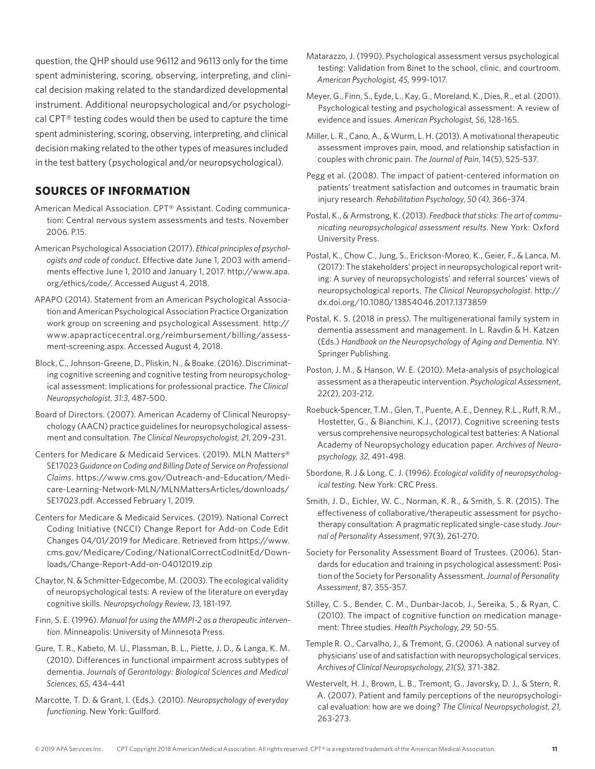question, the QHP should use 96112 and 96113 only for the time spent administering, scoring, observing, interpreting, and clinical decision making related to the standardized developmental instrument. Additional neuropsychological and/or psychological CPT® testing codes would then be used to capture the time spent administering, scoring, observing, interpreting, and clinical decision making related to the other types of measures included in the test battery (psychological and/or neuropsychological).

## **SOURCES OF INFORMATION**

- American Medical Association. CPT® Assistant. Coding communication: Central nervous system assessments and tests. November 2006. P.15.
- American Psychological Association (2017). *Ethical principles of psychologists and code of conduct*. Effective date June 1, 2003 with amendments effective June 1, 2010 and January 1, 2017. http://www.apa. org/ethics/code/. Accessed August 4, 2018.
- APAPO (2014). Statement from an American Psychological Association and American Psychological Association Practice Organization work group on screening and psychological Assessment. http:// www.apapracticecentral.org/reimbursement/billing/assessment-screening.aspx. Accessed August 4, 2018.
- Block, C., Johnson-Greene, D., Pliskin, N., & Boake. (2016). Discriminating cognitive screening and cognitive testing from neuropsychological assessment: Implications for professional practice. *The Clinical Neuropsychologist, 31:3*, 487-500.
- Board of Directors. (2007). American Academy of Clinical Neuropsychology (AACN) practice guidelines for neuropsychological assessment and consultation. *The Clinical Neuropsychologist, 21*, 209–231.
- Centers for Medicare & Medicaid Services. (2019). MLN Matters® [SE17023](https://urldefense.proofpoint.com/v2/url?u=https-3A__www.cms.gov_Outreach-2Dand-2DEducation_Medicare-2DLearning-2DNetwork-2DMLN_MLNMattersArticles_downloads_SE17023.pdf&d=DwMGaQ&c=VjzId-SM5S6aVB_cCGQ0d3uo9UfKByQ3sI6Audoy6dY&r=jR1lLYhax3ROzOFGhMXiKF3WXlbJVdQitfGpwF9iKgE&m=ig7p1cPkHZiKVdwdyzg7moxDiOXlAe2J4J6IQWr6byM&s=yhZpO82-gXIWmv97HemPzP2d7CX8c2E0UJ6NCjUxT-w&e=) *Guidance on Coding and Billing Date of Service on Professional Claims*. [https://www.cms.gov/Outreach-and-Education/Medi](https://www.cms.gov/Outreach-and-Education/Medicare-Learning-Network-MLN/MLNMattersArticles/downloads/SE17023.pdf)[care-Learning-Network-MLN/MLNMattersArticles/downloads/](https://www.cms.gov/Outreach-and-Education/Medicare-Learning-Network-MLN/MLNMattersArticles/downloads/SE17023.pdf) [SE17023.pdf](https://www.cms.gov/Outreach-and-Education/Medicare-Learning-Network-MLN/MLNMattersArticles/downloads/SE17023.pdf). Accessed February 1, 2019.
- Centers for Medicare & Medicaid Services. (2019). National Correct Coding Initiative (NCCI) Change Report for Add-on Code Edit Changes 04/01/2019 for Medicare. Retrieved from https://www. cms.gov/Medicare/Coding/NationalCorrectCodInitEd/Downloads/Change-Report-Add-on-04012019.zip
- Chaytor, N. & Schmitter-Edgecombe, M. (2003). The ecological validity of neuropsychological tests: A review of the literature on everyday cognitive skills. *Neuropsychology Review, 13,* 181-197.
- Finn, S. E. (1996). *Manual for using the MMPI-2 as a therapeutic intervention*. Minneapolis: University of Minnesota Press.
- Gure, T. R., Kabeto, M. U., Plassman, B. L., Piette, J. D., & Langa, K. M. (2010). Differences in functional impairment across subtypes of dementia. *Journals of Gerontology: Biological Sciences and Medical Sciences, 65,* 434-441
- Marcotte, T. D. & Grant, I. (Eds.). (2010). *Neuropsychology of everyday functioning*. New York: Guilford.
- Matarazzo, J. (1990). Psychological assessment versus psychological testing: Validation from Binet to the school, clinic, and courtroom. *American Psychologist, 45,* 999-1017.
- Meyer, G., Finn, S., Eyde, L., Kay, G., Moreland, K., Dies, R., et al. (2001). Psychological testing and psychological assessment: A review of evidence and issues. *American Psychologist, 56,* 128-165.
- Miller, L. R., Cano, A., & Wurm, L. H. (2013). A motivational therapeutic assessment improves pain, mood, and relationship satisfaction in couples with chronic pain. *The Journal of Pain*, 14(5), 525-537.
- Pegg et al. (2008). The impact of patient-centered information on patients' treatment satisfaction and outcomes in traumatic brain injury research. *Rehabilitation Psychology*, *50 (4),* 366–374.
- Postal, K., & Armstrong, K. (2013). *Feedback that sticks: The art of communicating neuropsychological assessment results.* New York: Oxford University Press.
- Postal, K., Chow C., Jung, S., Erickson-Moreo, K., Geier, F., & Lanca, M. (2017): The stakeholders' project in neuropsychological report writing: A survey of neuropsychologists' and referral sources' views of neuropsychological reports, *The Clinical Neuropsychologist*. http:// dx.doi.org/10.1080/13854046.2017.1373859
- Postal, K. S. (2018 in press). The multigenerational family system in dementia assessment and management. In L. Ravdin & H. Katzen (Eds.) *Handbook on the Neuropsychology of Aging and Dementia.* NY: Springer Publishing.
- Poston, J. M., & Hanson, W. E. (2010). Meta-analysis of psychological assessment as a therapeutic intervention. *Psychological Assessment*, 22(2), 203-212.
- Roebuck-Spencer, T.M., Glen, T., Puente, A.E., Denney, R.L., Ruff, R.M., Hostetter, G., & Bianchini, K.J., (2017). Cognitive screening tests versus comprehensive neuropsychological test batteries: A National Academy of Neuropsychology education paper. *Archives of Neuropsychology, 32,* 491-498.
- Sbordone, R. J & Long, C. J. (1996). *Ecological validity of neuropsychological testing*. New York: CRC Press.
- Smith, J. D., Eichler, W. C., Norman, K. R., & Smith, S. R. (2015). The effectiveness of collaborative/therapeutic assessment for psychotherapy consultation: A pragmatic replicated single-case study. *Journal of Personality Assessment*, 97(3), 261-270.
- Society for Personality Assessment Board of Trustees. (2006). Standards for education and training in psychological assessment: Position of the Society for Personality Assessment. *Journal of Personality Assessment*, 87, 355-357.
- Stilley, C. S., Bender, C. M., Dunbar-Jacob, J., Sereika, S., & Ryan, C. (2010). The impact of cognitive function on medication management: Three studies. *Health Psychology, 29,* 50-55.
- Temple R. O., Carvalho, J., & Tremont, G. (2006). A national survey of physicians' use of and satisfaction with neuropsychological services. *Archives of Clinical Neuropsychology, 21(5),* 371-382.
- Westervelt, H. J., Brown, L. B., Tremont, G., Javorsky, D. J., & Stern, R. A. (2007). Patient and family perceptions of the neuropsychological evaluation: how are we doing? *The Clinical Neuropsychologist, 21,*  263-273.